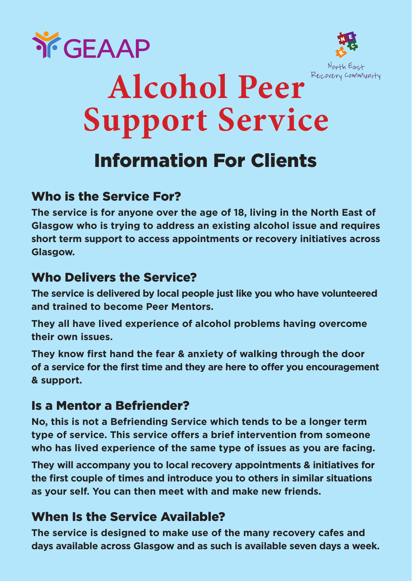



# Information For Clients **Alcohol Peer Support Service**

## Who is the Service For?

**The service is for anyone over the age of 18, living in the North East of Glasgow who is trying to address an existing alcohol issue and requires short term support to access appointments or recovery initiatives across Glasgow.** 

#### Who Delivers the Service?

**The service is delivered by local people just like you who have volunteered and trained to become Peer Mentors.** 

**They all have lived experience of alcohol problems having overcome their own issues.** 

**They know first hand the fear & anxiety of walking through the door of a service for the first time and they are here to offer you encouragement & support.** 

#### Is a Mentor a Befriender?

**No, this is not a Befriending Service which tends to be a longer term type of service. This service offers a brief intervention from someone who has lived experience of the same type of issues as you are facing.** 

**They will accompany you to local recovery appointments & initiatives for the first couple of times and introduce you to others in similar situations as your self. You can then meet with and make new friends.** 

### When Is the Service Available?

**The service is designed to make use of the many recovery cafes and days available across Glasgow and as such is available seven days a week.**